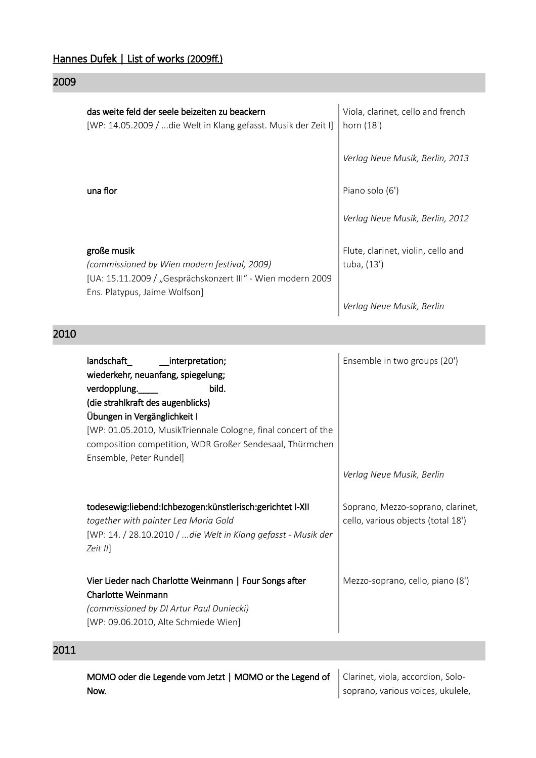#### Hannes Dufek | List of works (2009ff.)

#### 2009

|      | das weite feld der seele beizeiten zu beackern<br>[WP: 14.05.2009 / die Welt in Klang gefasst. Musik der Zeit I]                                                                                                                                                                                                             | Viola, clarinet, cello and french<br>horn (18')                         |
|------|------------------------------------------------------------------------------------------------------------------------------------------------------------------------------------------------------------------------------------------------------------------------------------------------------------------------------|-------------------------------------------------------------------------|
|      |                                                                                                                                                                                                                                                                                                                              | Verlag Neue Musik, Berlin, 2013                                         |
|      | una flor                                                                                                                                                                                                                                                                                                                     | Piano solo (6')                                                         |
|      |                                                                                                                                                                                                                                                                                                                              | Verlag Neue Musik, Berlin, 2012                                         |
|      | große musik<br>(commissioned by Wien modern festival, 2009)<br>[UA: 15.11.2009 / "Gesprächskonzert III" - Wien modern 2009                                                                                                                                                                                                   | Flute, clarinet, violin, cello and<br>tuba, (13')                       |
|      | Ens. Platypus, Jaime Wolfson]                                                                                                                                                                                                                                                                                                | Verlag Neue Musik, Berlin                                               |
| 2010 |                                                                                                                                                                                                                                                                                                                              |                                                                         |
|      | landschaft_<br>__interpretation;<br>wiederkehr, neuanfang, spiegelung;<br>verdopplung.<br>bild.<br>(die strahlkraft des augenblicks)<br>Übungen in Vergänglichkeit I<br>[WP: 01.05.2010, MusikTriennale Cologne, final concert of the<br>composition competition, WDR Großer Sendesaal, Thürmchen<br>Ensemble, Peter Rundel] | Ensemble in two groups (20')                                            |
|      |                                                                                                                                                                                                                                                                                                                              | Verlag Neue Musik, Berlin                                               |
|      | todesewig:liebend:Ichbezogen:künstlerisch:gerichtet I-XII<br>together with painter Lea Maria Gold<br>[WP: 14. / 28.10.2010 / die Welt in Klang gefasst - Musik der                                                                                                                                                           | Soprano, Mezzo-soprano, clarinet,<br>cello, various objects (total 18') |

Vier Lieder nach Charlotte Weinmann | Four Songs after Charlotte Weinmann *(commissioned by DI Artur Paul Duniecki)* Mezzo-soprano, cello, piano (8')

[WP: 09.06.2010, Alte Schmiede Wien]

### 2011

MOMO oder die Legende vom Jetzt | MOMO or the Legend of Now. Clarinet, viola, accordion, Solosoprano, various voices, ukulele,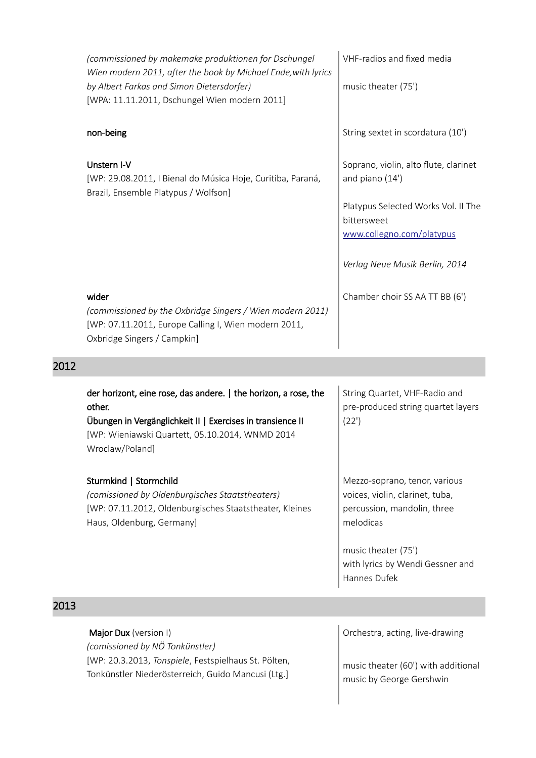| (commissioned by makemake produktionen for Dschungel<br>Wien modern 2011, after the book by Michael Ende, with lyrics<br>by Albert Farkas and Simon Dietersdorfer)<br>[WPA: 11.11.2011, Dschungel Wien modern 2011] | VHF-radios and fixed media<br>music theater (75')                                                                                                                             |
|---------------------------------------------------------------------------------------------------------------------------------------------------------------------------------------------------------------------|-------------------------------------------------------------------------------------------------------------------------------------------------------------------------------|
| non-being                                                                                                                                                                                                           | String sextet in scordatura (10')                                                                                                                                             |
| Unstern I-V<br>[WP: 29.08.2011, I Bienal do Música Hoje, Curitiba, Paraná,<br>Brazil, Ensemble Platypus / Wolfson]                                                                                                  | Soprano, violin, alto flute, clarinet<br>and piano (14')<br>Platypus Selected Works Vol. II The<br>bittersweet<br>www.collegno.com/platypus<br>Verlag Neue Musik Berlin, 2014 |
| wider<br>(commissioned by the Oxbridge Singers / Wien modern 2011)<br>[WP: 07.11.2011, Europe Calling I, Wien modern 2011,<br>Oxbridge Singers / Campkin]                                                           | Chamber choir SS AA TT BB (6')                                                                                                                                                |

#### 2012

| der horizont, eine rose, das andere.   the horizon, a rose, the<br>other.<br>Übungen in Vergänglichkeit II   Exercises in transience II<br>[WP: Wieniawski Quartett, 05.10.2014, WNMD 2014<br>Wroclaw/Poland] | String Quartet, VHF-Radio and<br>pre-produced string quartet layers<br>(22')                                 |
|---------------------------------------------------------------------------------------------------------------------------------------------------------------------------------------------------------------|--------------------------------------------------------------------------------------------------------------|
| Sturmkind   Stormchild<br>(comissioned by Oldenburgisches Staatstheaters)<br>[WP: 07.11.2012, Oldenburgisches Staatstheater, Kleines<br>Haus, Oldenburg, Germany]                                             | Mezzo-soprano, tenor, various<br>voices, violin, clarinet, tuba,<br>percussion, mandolin, three<br>melodicas |
|                                                                                                                                                                                                               | music theater (75')<br>with lyrics by Wendi Gessner and<br>Hannes Dufek                                      |

### 2013

Major Dux (version I) *(comissioned by NÖ Tonkünstler)* [WP: 20.3.2013, *Tonspiele*, Festspielhaus St. Pölten, Tonkünstler Niederösterreich, Guido Mancusi (Ltg.]

Orchestra, acting, live-drawing

music theater (60') with additional music by George Gershwin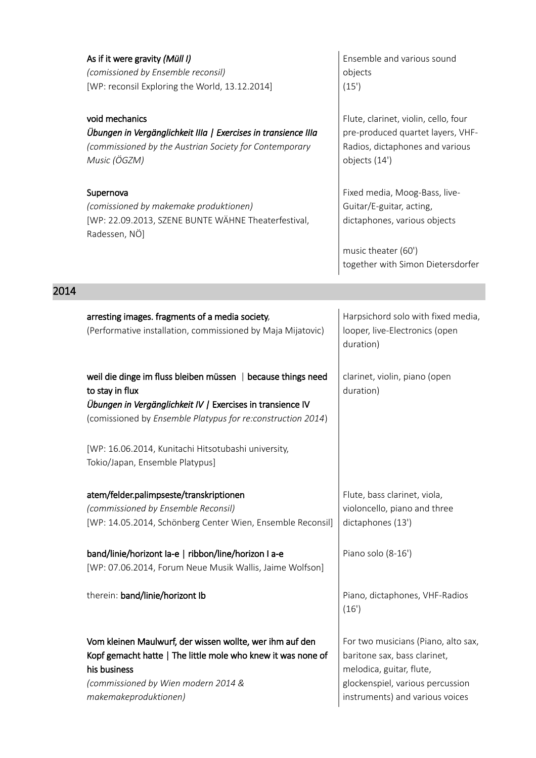|      | As if it were gravity (Müll I)<br>(comissioned by Ensemble reconsil)<br>[WP: reconsil Exploring the World, 13.12.2014]<br>void mechanics<br>Übungen in Vergänglichkeit IIIa   Exercises in transience IIIa<br>(commissioned by the Austrian Society for Contemporary<br>Music (ÖGZM)<br>Supernova<br>(comissioned by makemake produktionen)<br>[WP: 22.09.2013, SZENE BUNTE WÄHNE Theaterfestival,<br>Radessen, NÖ] | Ensemble and various sound<br>objects<br>(15)<br>Flute, clarinet, violin, cello, four<br>pre-produced quartet layers, VHF-<br>Radios, dictaphones and various<br>objects (14')<br>Fixed media, Moog-Bass, live-<br>Guitar/E-guitar, acting,<br>dictaphones, various objects<br>music theater (60') |
|------|---------------------------------------------------------------------------------------------------------------------------------------------------------------------------------------------------------------------------------------------------------------------------------------------------------------------------------------------------------------------------------------------------------------------|----------------------------------------------------------------------------------------------------------------------------------------------------------------------------------------------------------------------------------------------------------------------------------------------------|
|      |                                                                                                                                                                                                                                                                                                                                                                                                                     | together with Simon Dietersdorfer                                                                                                                                                                                                                                                                  |
| 2014 |                                                                                                                                                                                                                                                                                                                                                                                                                     |                                                                                                                                                                                                                                                                                                    |
|      | arresting images. fragments of a media society,<br>(Performative installation, commissioned by Maja Mijatovic)                                                                                                                                                                                                                                                                                                      | Harpsichord solo with fixed media,<br>looper, live-Electronics (open<br>duration)                                                                                                                                                                                                                  |
|      | weil die dinge im fluss bleiben müssen   because things need<br>to stay in flux<br>Übungen in Vergänglichkeit IV / Exercises in transience IV<br>(comissioned by Ensemble Platypus for re:construction 2014)                                                                                                                                                                                                        | clarinet, violin, piano (open<br>duration)                                                                                                                                                                                                                                                         |
|      | [WP: 16.06.2014, Kunitachi Hitsotubashi university,<br>Tokio/Japan, Ensemble Platypus]                                                                                                                                                                                                                                                                                                                              |                                                                                                                                                                                                                                                                                                    |
|      | atem/felder.palimpseste/transkriptionen<br>(commissioned by Ensemble Reconsil)<br>[WP: 14.05.2014, Schönberg Center Wien, Ensemble Reconsil]                                                                                                                                                                                                                                                                        | Flute, bass clarinet, viola,<br>violoncello, piano and three<br>dictaphones (13')                                                                                                                                                                                                                  |
|      | band/linie/horizont la-e   ribbon/line/horizon I a-e<br>[WP: 07.06.2014, Forum Neue Musik Wallis, Jaime Wolfson]                                                                                                                                                                                                                                                                                                    | Piano solo (8-16')                                                                                                                                                                                                                                                                                 |
|      | therein: band/linie/horizont Ib                                                                                                                                                                                                                                                                                                                                                                                     | Piano, dictaphones, VHF-Radios<br>(16')                                                                                                                                                                                                                                                            |
|      | Vom kleinen Maulwurf, der wissen wollte, wer ihm auf den<br>Kopf gemacht hatte   The little mole who knew it was none of<br>his business<br>(commissioned by Wien modern 2014 &<br>makemakeproduktionen)                                                                                                                                                                                                            | For two musicians (Piano, alto sax,<br>baritone sax, bass clarinet,<br>melodica, guitar, flute,<br>glockenspiel, various percussion<br>instruments) and various voices                                                                                                                             |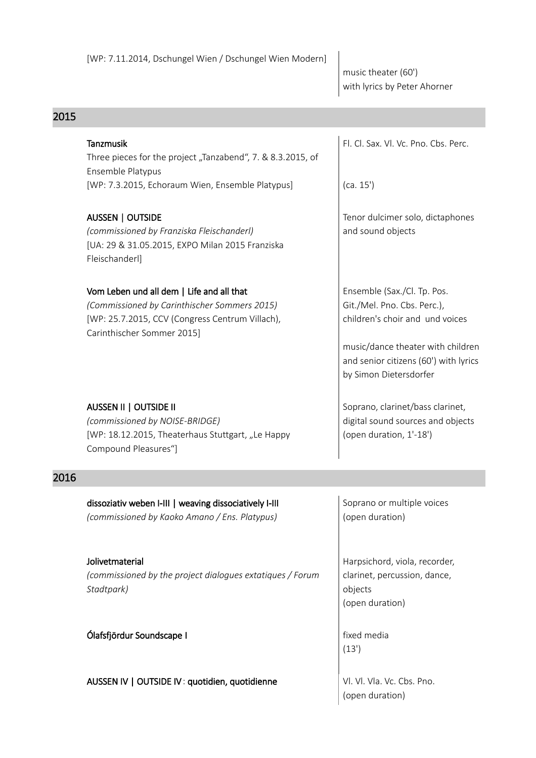music theater (60') with lyrics by Peter Ahorner

| 2015 |                                                                                                                                                                            |                                                                                                                                                                                                       |
|------|----------------------------------------------------------------------------------------------------------------------------------------------------------------------------|-------------------------------------------------------------------------------------------------------------------------------------------------------------------------------------------------------|
|      | <b>Tanzmusik</b><br>Three pieces for the project "Tanzabend", 7. & 8.3.2015, of<br>Ensemble Platypus                                                                       | Fl. Cl. Sax. Vl. Vc. Pno. Cbs. Perc.                                                                                                                                                                  |
|      | [WP: 7.3.2015, Echoraum Wien, Ensemble Platypus]                                                                                                                           | (ca. 15')                                                                                                                                                                                             |
|      | AUSSEN   OUTSIDE<br>(commissioned by Franziska Fleischanderl)<br>[UA: 29 & 31.05.2015, EXPO Milan 2015 Franziska<br>Fleischanderl]                                         | Tenor dulcimer solo, dictaphones<br>and sound objects                                                                                                                                                 |
|      | Vom Leben und all dem   Life and all that<br>(Commissioned by Carinthischer Sommers 2015)<br>[WP: 25.7.2015, CCV (Congress Centrum Villach),<br>Carinthischer Sommer 2015] | Ensemble (Sax./Cl. Tp. Pos.<br>Git./Mel. Pno. Cbs. Perc.),<br>children's choir and und voices<br>music/dance theater with children<br>and senior citizens (60') with lyrics<br>by Simon Dietersdorfer |
|      | AUSSEN II   OUTSIDE II<br>(commissioned by NOISE-BRIDGE)<br>[WP: 18.12.2015, Theaterhaus Stuttgart, "Le Happy<br>Compound Pleasures"]                                      | Soprano, clarinet/bass clarinet,<br>digital sound sources and objects<br>(open duration, 1'-18')                                                                                                      |
| 2016 |                                                                                                                                                                            |                                                                                                                                                                                                       |
|      | dissoziativ weben I-III   weaving dissociatively I-III<br>(commissioned by Kaoko Amano / Ens. Platypus)                                                                    | Soprano or multiple voices<br>(open duration)                                                                                                                                                         |
|      | Jolivetmaterial<br>(commissioned by the project dialogues extatiques / Forum<br>Stadtpark)                                                                                 | Harpsichord, viola, recorder,<br>clarinet, percussion, dance,<br>objects<br>(open duration)                                                                                                           |
|      | Ólafsfjördur Soundscape I                                                                                                                                                  | fixed media<br>(13')                                                                                                                                                                                  |
|      | AUSSEN IV   OUTSIDE IV: quotidien, quotidienne                                                                                                                             | Vl. Vl. Vla. Vc. Cbs. Pno.<br>(open duration)                                                                                                                                                         |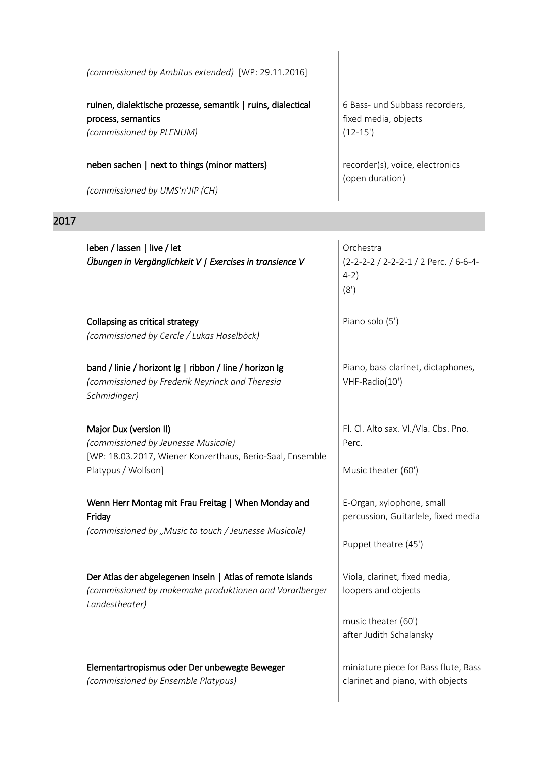| (commissioned by Ambitus extended) [WP: 29.11.2016]                                                            |                                                                      |
|----------------------------------------------------------------------------------------------------------------|----------------------------------------------------------------------|
| ruinen, dialektische prozesse, semantik   ruins, dialectical<br>process, semantics<br>(commissioned by PLENUM) | 6 Bass- und Subbass recorders,<br>fixed media, objects<br>$(12-15')$ |
| neben sachen   next to things (minor matters)                                                                  | recorder(s), voice, electronics<br>(open duration)                   |
| (commissioned by UMS'n'JIP (CH)                                                                                |                                                                      |

 $\overline{\phantom{a}}$ 

## 2017

| leben / lassen   live / let<br>Übungen in Vergänglichkeit V   Exercises in transience V                                                           | Orchestra<br>(2-2-2-2 / 2-2-2-1 / 2 Perc. / 6-6-4-<br>$4-2)$<br>(8')                                   |
|---------------------------------------------------------------------------------------------------------------------------------------------------|--------------------------------------------------------------------------------------------------------|
| Collapsing as critical strategy<br>(commissioned by Cercle / Lukas Haselböck)                                                                     | Piano solo (5')                                                                                        |
| band / linie / horizont Ig   ribbon / line / horizon Ig<br>(commissioned by Frederik Neyrinck and Theresia<br>Schmidinger)                        | Piano, bass clarinet, dictaphones,<br>VHF-Radio(10')                                                   |
| Major Dux (version II)<br>(commissioned by Jeunesse Musicale)<br>[WP: 18.03.2017, Wiener Konzerthaus, Berio-Saal, Ensemble<br>Platypus / Wolfson] | Fl. Cl. Alto sax. Vl./Vla. Cbs. Pno.<br>Perc.<br>Music theater (60')                                   |
| Wenn Herr Montag mit Frau Freitag   When Monday and<br>Friday<br>(commissioned by "Music to touch / Jeunesse Musicale)                            | E-Organ, xylophone, small<br>percussion, Guitarlele, fixed media<br>Puppet theatre (45')               |
| Der Atlas der abgelegenen Inseln   Atlas of remote islands<br>(commissioned by makemake produktionen and Vorarlberger<br>Landestheater)           | Viola, clarinet, fixed media,<br>loopers and objects<br>music theater (60')<br>after Judith Schalansky |
| Elementartropismus oder Der unbewegte Beweger<br>(commissioned by Ensemble Platypus)                                                              | miniature piece for Bass flute, Bass<br>clarinet and piano, with objects                               |